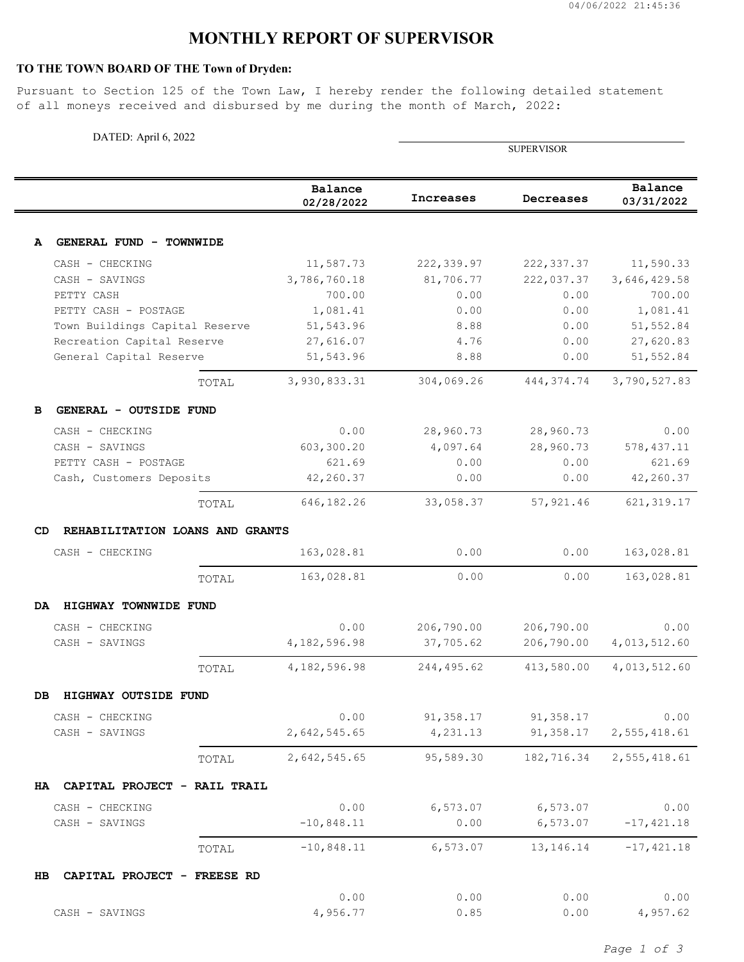## **MONTHLY REPORT OF SUPERVISOR**

## **TO THE TOWN BOARD OF THE Town of Dryden:**

Pursuant to Section 125 of the Town Law, I hereby render the following detailed statement of all moneys received and disbursed by me during the month of March, 2022:

| DATED: April 6, 2022                                   |       |                       |                  |                   |                        |  |
|--------------------------------------------------------|-------|-----------------------|------------------|-------------------|------------------------|--|
|                                                        |       |                       |                  | <b>SUPERVISOR</b> |                        |  |
|                                                        |       | Balance<br>02/28/2022 | <b>Increases</b> | Decreases         | Balance<br>03/31/2022  |  |
|                                                        |       |                       |                  |                   |                        |  |
| GENERAL FUND - TOWNWIDE<br>A                           |       |                       |                  |                   |                        |  |
| CASH - CHECKING                                        |       | 11,587.73             | 222, 339.97      | 222, 337.37       | 11,590.33              |  |
| CASH - SAVINGS                                         |       | 3,786,760.18          | 81,706.77        | 222,037.37        | 3,646,429.58           |  |
| PETTY CASH                                             |       | 700.00                | 0.00             | 0.00              | 700.00                 |  |
| PETTY CASH - POSTAGE<br>Town Buildings Capital Reserve |       | 1,081.41<br>51,543.96 | 0.00<br>8.88     | 0.00<br>0.00      | 1,081.41<br>51, 552.84 |  |
| Recreation Capital Reserve                             |       | 27,616.07             | 4.76             | 0.00              | 27,620.83              |  |
| General Capital Reserve                                |       | 51,543.96             | 8.88             | 0.00              | 51,552.84              |  |
|                                                        | TOTAL | 3,930,833.31          | 304,069.26       | 444, 374.74       | 3,790,527.83           |  |
| GENERAL - OUTSIDE FUND<br>в                            |       |                       |                  |                   |                        |  |
| CASH - CHECKING                                        |       | 0.00                  | 28,960.73        | 28,960.73         | 0.00                   |  |
| CASH - SAVINGS                                         |       | 603,300.20            | 4,097.64         | 28,960.73         | 578, 437.11            |  |
| PETTY CASH - POSTAGE                                   |       | 621.69                | 0.00             | 0.00              | 621.69                 |  |
| Cash, Customers Deposits                               |       | 42,260.37             | 0.00             | 0.00              | 42,260.37              |  |
|                                                        | TOTAL | 646,182.26            | 33,058.37        | 57,921.46         | 621, 319.17            |  |
| CD.<br>REHABILITATION LOANS AND GRANTS                 |       |                       |                  |                   |                        |  |
| CASH - CHECKING                                        |       | 163,028.81            | 0.00             | 0.00              | 163,028.81             |  |
|                                                        | TOTAL | 163,028.81            | 0.00             | 0.00              | 163,028.81             |  |
| HIGHWAY TOWNWIDE FUND<br>DA.                           |       |                       |                  |                   |                        |  |
| CASH - CHECKING                                        |       | 0.00                  | 206,790.00       | 206,790.00        | 0.00                   |  |
| CASH - SAVINGS                                         |       | 4, 182, 596.98        | 37,705.62        | 206,790.00        | 4,013,512.60           |  |
|                                                        | TOTAL | 4,182,596.98          | 244,495.62       | 413,580.00        | 4,013,512.60           |  |
| HIGHWAY OUTSIDE FUND<br>DB                             |       |                       |                  |                   |                        |  |
| CASH - CHECKING                                        |       | 0.00                  | 91,358.17        | 91,358.17         | 0.00                   |  |
| CASH - SAVINGS                                         |       | 2,642,545.65          | 4,231.13         | 91,358.17         | 2,555,418.61           |  |
|                                                        | TOTAL | 2,642,545.65          | 95,589.30        | 182,716.34        | 2,555,418.61           |  |
| HA CAPITAL PROJECT - RAIL TRAIL                        |       |                       |                  |                   |                        |  |
| CASH - CHECKING                                        |       | 0.00                  | 6,573.07         | 6,573.07          | 0.00                   |  |
| CASH - SAVINGS                                         |       | $-10,848.11$          | 0.00             | 6,573.07          | $-17,421.18$           |  |
|                                                        | TOTAL | $-10,848.11$          | 6,573.07         | 13, 146. 14       | $-17, 421.18$          |  |
| CAPITAL PROJECT - FREESE RD<br>HB                      |       |                       |                  |                   |                        |  |
|                                                        |       | 0.00                  | 0.00             | 0.00              | 0.00                   |  |
| CASH - SAVINGS                                         |       | 4,956.77              | 0.85             | 0.00              | 4,957.62               |  |

*Page 1 of 3*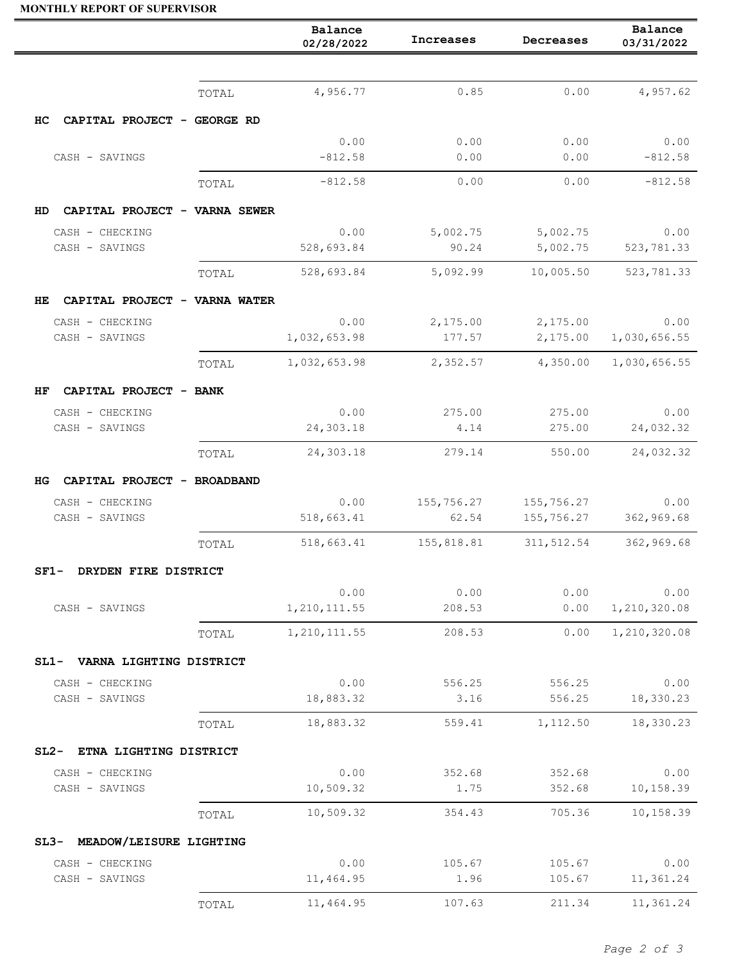## **MONTHLY REPORT OF SUPERVISOR**

|                                                  |       | Balance<br>02/28/2022 | Increases          | Decreases            | Balance<br>03/31/2022 |
|--------------------------------------------------|-------|-----------------------|--------------------|----------------------|-----------------------|
|                                                  |       |                       |                    |                      |                       |
|                                                  | TOTAL | 4,956.77              | 0.85               | 0.00                 | 4,957.62              |
| HС<br>CAPITAL PROJECT - GEORGE RD                |       |                       |                    |                      |                       |
|                                                  |       | 0.00                  | 0.00               | 0.00                 | 0.00                  |
| CASH - SAVINGS                                   |       | $-812.58$             | 0.00               | 0.00                 | $-812.58$             |
|                                                  | TOTAL | $-812.58$             | 0.00               | 0.00                 | $-812.58$             |
| CAPITAL PROJECT - VARNA SEWER<br>HD.             |       |                       |                    |                      |                       |
| CASH - CHECKING                                  |       | 0.00<br>528,693.84    | 5,002.75<br>90.24  | 5,002.75<br>5,002.75 | 0.00<br>523,781.33    |
| CASH - SAVINGS                                   |       | 528,693.84            | 5,092.99           | 10,005.50            | 523,781.33            |
|                                                  | TOTAL |                       |                    |                      |                       |
| CAPITAL PROJECT - VARNA WATER<br>HE.             |       |                       |                    |                      |                       |
| CASH - CHECKING<br>CASH - SAVINGS                |       | 0.00<br>1,032,653.98  | 2,175.00<br>177.57 | 2,175.00<br>2,175.00 | 0.00<br>1,030,656.55  |
|                                                  | TOTAL | 1,032,653.98          | 2,352.57           | 4,350.00             | 1,030,656.55          |
|                                                  |       |                       |                    |                      |                       |
| CAPITAL PROJECT - BANK<br>HF.<br>CASH - CHECKING |       | 0.00                  | 275.00             | 275.00               | 0.00                  |
| CASH - SAVINGS                                   |       | 24,303.18             | 4.14               | 275.00               | 24,032.32             |
|                                                  | TOTAL | 24,303.18             | 279.14             | 550.00               | 24,032.32             |
| CAPITAL PROJECT - BROADBAND<br>HG                |       |                       |                    |                      |                       |
| CASH - CHECKING                                  |       | 0.00                  | 155,756.27         | 155,756.27           | 0.00                  |
| CASH - SAVINGS                                   |       | 518,663.41            | 62.54              | 155,756.27           | 362,969.68            |
|                                                  | TOTAL | 518,663.41            | 155,818.81         | 311,512.54           | 362,969.68            |
| DRYDEN FIRE DISTRICT<br>SF1-                     |       |                       |                    |                      |                       |
|                                                  |       | 0.00                  | 0.00               | 0.00                 | 0.00                  |
| CASH - SAVINGS                                   |       | 1, 210, 111.55        | 208.53             | 0.00                 | 1,210,320.08          |
|                                                  | TOTAL | 1, 210, 111.55        | 208.53             | 0.00                 | 1,210,320.08          |
| SL1- VARNA LIGHTING DISTRICT                     |       |                       |                    |                      |                       |
| CASH - CHECKING<br>CASH - SAVINGS                |       | 0.00                  | 556.25             | 556.25               | 0.00                  |
|                                                  |       | 18,883.32             | 3.16               | 556.25               | 18,330.23             |
|                                                  | TOTAL | 18,883.32             | 559.41             | 1,112.50             | 18,330.23             |
| SL2- ETNA LIGHTING DISTRICT                      |       |                       |                    |                      |                       |
| CASH - CHECKING<br>CASH - SAVINGS                |       | 0.00<br>10,509.32     | 352.68<br>1.75     | 352.68<br>352.68     | 0.00<br>10,158.39     |
|                                                  |       |                       | 354.43             | 705.36               |                       |
|                                                  | TOTAL | 10,509.32             |                    |                      | 10,158.39             |
| SL3- MEADOW/LEISURE LIGHTING                     |       |                       |                    |                      |                       |
| CASH - CHECKING<br>CASH - SAVINGS                |       | 0.00<br>11,464.95     | 105.67<br>1.96     | 105.67<br>105.67     | 0.00<br>11,361.24     |
|                                                  | TOTAL | 11,464.95             | 107.63             | 211.34               | 11,361.24             |